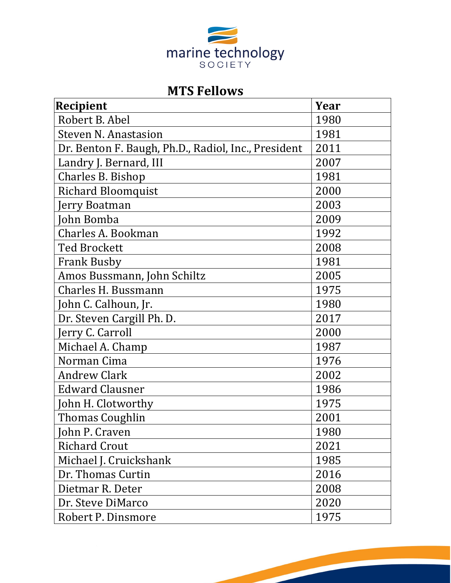

## **MTS Fellows**

| <b>Recipient</b>                                    | Year |
|-----------------------------------------------------|------|
| Robert B. Abel                                      | 1980 |
| Steven N. Anastasion                                | 1981 |
| Dr. Benton F. Baugh, Ph.D., Radiol, Inc., President | 2011 |
| Landry J. Bernard, III                              | 2007 |
| Charles B. Bishop                                   | 1981 |
| <b>Richard Bloomquist</b>                           | 2000 |
| Jerry Boatman                                       | 2003 |
| John Bomba                                          | 2009 |
| Charles A. Bookman                                  | 1992 |
| <b>Ted Brockett</b>                                 | 2008 |
| <b>Frank Busby</b>                                  | 1981 |
| Amos Bussmann, John Schiltz                         | 2005 |
| <b>Charles H. Bussmann</b>                          | 1975 |
| John C. Calhoun, Jr.                                | 1980 |
| Dr. Steven Cargill Ph. D.                           | 2017 |
| Jerry C. Carroll                                    | 2000 |
| Michael A. Champ                                    | 1987 |
| Norman Cima                                         | 1976 |
| <b>Andrew Clark</b>                                 | 2002 |
| <b>Edward Clausner</b>                              | 1986 |
| John H. Clotworthy                                  | 1975 |
| <b>Thomas Coughlin</b>                              | 2001 |
| ohn P. Craven                                       | 1980 |
| <b>Richard Crout</b>                                | 2021 |
| Michael J. Cruickshank                              | 1985 |
| Dr. Thomas Curtin                                   | 2016 |
| Dietmar R. Deter                                    | 2008 |
| Dr. Steve DiMarco                                   | 2020 |
| Robert P. Dinsmore                                  | 1975 |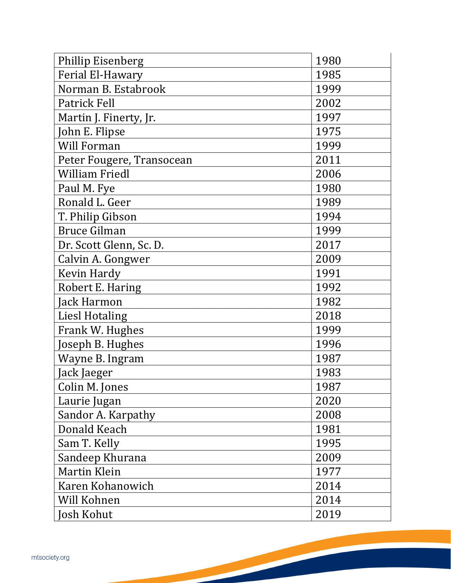| <b>Phillip Eisenberg</b>  | 1980 |
|---------------------------|------|
| Ferial El-Hawary          | 1985 |
| Norman B. Estabrook       | 1999 |
| <b>Patrick Fell</b>       | 2002 |
| Martin J. Finerty, Jr.    | 1997 |
| John E. Flipse            | 1975 |
| <b>Will Forman</b>        | 1999 |
| Peter Fougere, Transocean | 2011 |
| <b>William Friedl</b>     | 2006 |
| Paul M. Fye               | 1980 |
| Ronald L. Geer            | 1989 |
| T. Philip Gibson          | 1994 |
| <b>Bruce Gilman</b>       | 1999 |
| Dr. Scott Glenn, Sc. D.   | 2017 |
| Calvin A. Gongwer         | 2009 |
| Kevin Hardy               | 1991 |
| Robert E. Haring          | 1992 |
| Jack Harmon               | 1982 |
| <b>Liesl Hotaling</b>     | 2018 |
| Frank W. Hughes           | 1999 |
| Joseph B. Hughes          | 1996 |
| Wayne B. Ingram           | 1987 |
| Jack Jaeger               | 1983 |
| Colin M. Jones            | 1987 |
| Laurie Jugan              | 2020 |
| Sandor A. Karpathy        | 2008 |
| Donald Keach              | 1981 |
| Sam T. Kelly              | 1995 |
| Sandeep Khurana           | 2009 |
| <b>Martin Klein</b>       | 1977 |
| Karen Kohanowich          | 2014 |
| Will Kohnen               | 2014 |
| Josh Kohut                | 2019 |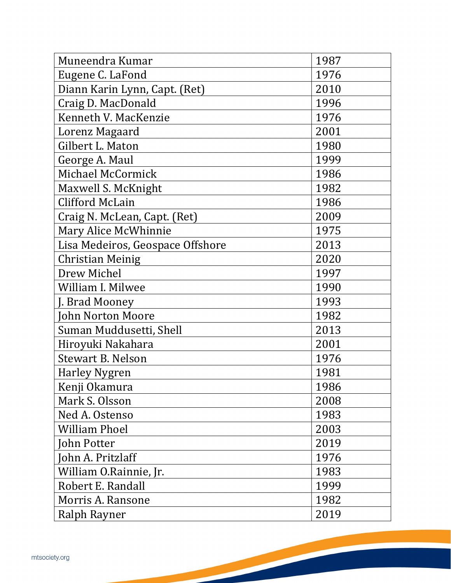| Muneendra Kumar                  | 1987 |
|----------------------------------|------|
| Eugene C. LaFond                 | 1976 |
| Diann Karin Lynn, Capt. (Ret)    | 2010 |
| Craig D. MacDonald               | 1996 |
| Kenneth V. MacKenzie             | 1976 |
| Lorenz Magaard                   | 2001 |
| Gilbert L. Maton                 | 1980 |
| George A. Maul                   | 1999 |
| Michael McCormick                | 1986 |
| Maxwell S. McKnight              | 1982 |
| <b>Clifford McLain</b>           | 1986 |
| Craig N. McLean, Capt. (Ret)     | 2009 |
| Mary Alice McWhinnie             | 1975 |
| Lisa Medeiros, Geospace Offshore | 2013 |
| <b>Christian Meinig</b>          | 2020 |
| Drew Michel                      | 1997 |
| William I. Milwee                | 1990 |
| J. Brad Mooney                   | 1993 |
| <b>John Norton Moore</b>         | 1982 |
| Suman Muddusetti, Shell          | 2013 |
| Hiroyuki Nakahara                | 2001 |
| <b>Stewart B. Nelson</b>         | 1976 |
| Harley Nygren                    | 1981 |
| Kenji Okamura                    | 1986 |
| Mark S. Olsson                   | 2008 |
| Ned A. Ostenso                   | 1983 |
| <b>William Phoel</b>             | 2003 |
| John Potter                      | 2019 |
| John A. Pritzlaff                | 1976 |
| William O.Rainnie, Jr.           | 1983 |
| Robert E. Randall                | 1999 |
| Morris A. Ransone                | 1982 |
| Ralph Rayner                     | 2019 |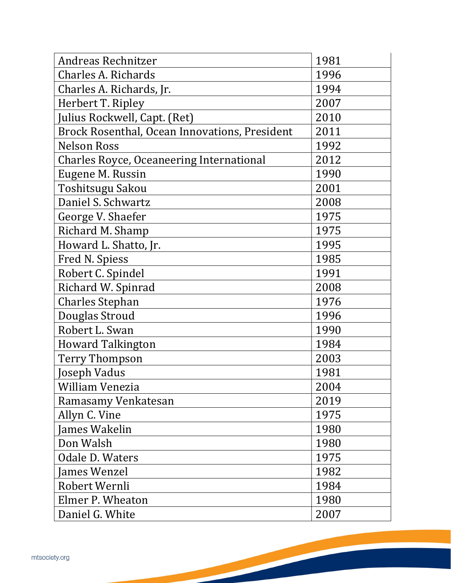| <b>Andreas Rechnitzer</b>                       | 1981 |
|-------------------------------------------------|------|
| Charles A. Richards                             | 1996 |
| Charles A. Richards, Jr.                        | 1994 |
| Herbert T. Ripley                               | 2007 |
| Julius Rockwell, Capt. (Ret)                    | 2010 |
| Brock Rosenthal, Ocean Innovations, President   | 2011 |
| <b>Nelson Ross</b>                              | 1992 |
| <b>Charles Royce, Oceaneering International</b> | 2012 |
| Eugene M. Russin                                | 1990 |
| Toshitsugu Sakou                                | 2001 |
| Daniel S. Schwartz                              | 2008 |
| George V. Shaefer                               | 1975 |
| Richard M. Shamp                                | 1975 |
| Howard L. Shatto, Jr.                           | 1995 |
| Fred N. Spiess                                  | 1985 |
| Robert C. Spindel                               | 1991 |
| Richard W. Spinrad                              | 2008 |
| <b>Charles Stephan</b>                          | 1976 |
| Douglas Stroud                                  | 1996 |
| Robert L. Swan                                  | 1990 |
| <b>Howard Talkington</b>                        | 1984 |
| <b>Terry Thompson</b>                           | 2003 |
| Joseph Vadus                                    | 1981 |
| William Venezia                                 | 2004 |
| Ramasamy Venkatesan                             | 2019 |
| Allyn C. Vine                                   | 1975 |
| James Wakelin                                   | 1980 |
| Don Walsh                                       | 1980 |
| Odale D. Waters                                 | 1975 |
| James Wenzel                                    | 1982 |
| Robert Wernli                                   | 1984 |
| Elmer P. Wheaton                                | 1980 |
| Daniel G. White                                 | 2007 |